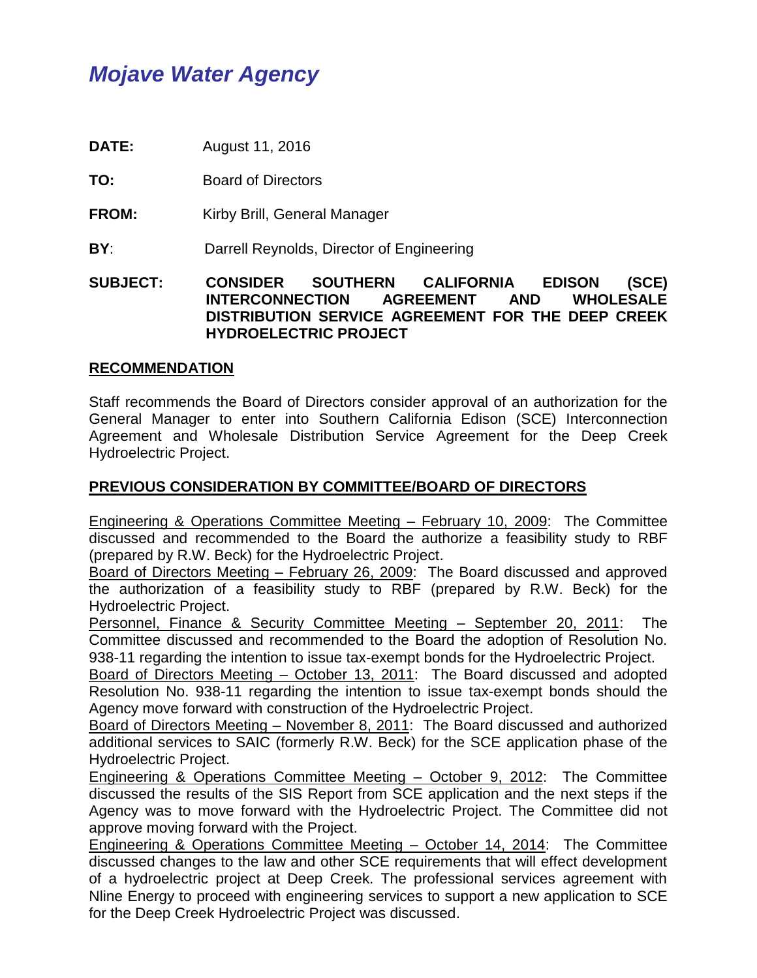# *Mojave Water Agency*

**DATE:** August 11, 2016

**TO:** Board of Directors

**FROM:** Kirby Brill, General Manager

**BY:** Darrell Reynolds, Director of Engineering

**SUBJECT: CONSIDER SOUTHERN CALIFORNIA EDISON (SCE) INTERCONNECTION AGREEMENT AND WHOLESALE DISTRIBUTION SERVICE AGREEMENT FOR THE DEEP CREEK HYDROELECTRIC PROJECT** 

#### **RECOMMENDATION**

Staff recommends the Board of Directors consider approval of an authorization for the General Manager to enter into Southern California Edison (SCE) Interconnection Agreement and Wholesale Distribution Service Agreement for the Deep Creek Hydroelectric Project.

## **PREVIOUS CONSIDERATION BY COMMITTEE/BOARD OF DIRECTORS**

Engineering & Operations Committee Meeting – February 10, 2009: The Committee discussed and recommended to the Board the authorize a feasibility study to RBF (prepared by R.W. Beck) for the Hydroelectric Project.

Board of Directors Meeting – February 26, 2009: The Board discussed and approved the authorization of a feasibility study to RBF (prepared by R.W. Beck) for the Hydroelectric Project.

Personnel, Finance & Security Committee Meeting – September 20, 2011: The Committee discussed and recommended to the Board the adoption of Resolution No. 938-11 regarding the intention to issue tax-exempt bonds for the Hydroelectric Project.

Board of Directors Meeting – October 13, 2011: The Board discussed and adopted Resolution No. 938-11 regarding the intention to issue tax-exempt bonds should the Agency move forward with construction of the Hydroelectric Project.

Board of Directors Meeting – November 8, 2011: The Board discussed and authorized additional services to SAIC (formerly R.W. Beck) for the SCE application phase of the Hydroelectric Project.

Engineering & Operations Committee Meeting – October 9, 2012: The Committee discussed the results of the SIS Report from SCE application and the next steps if the Agency was to move forward with the Hydroelectric Project. The Committee did not approve moving forward with the Project.

Engineering & Operations Committee Meeting – October 14, 2014: The Committee discussed changes to the law and other SCE requirements that will effect development of a hydroelectric project at Deep Creek. The professional services agreement with Nline Energy to proceed with engineering services to support a new application to SCE for the Deep Creek Hydroelectric Project was discussed.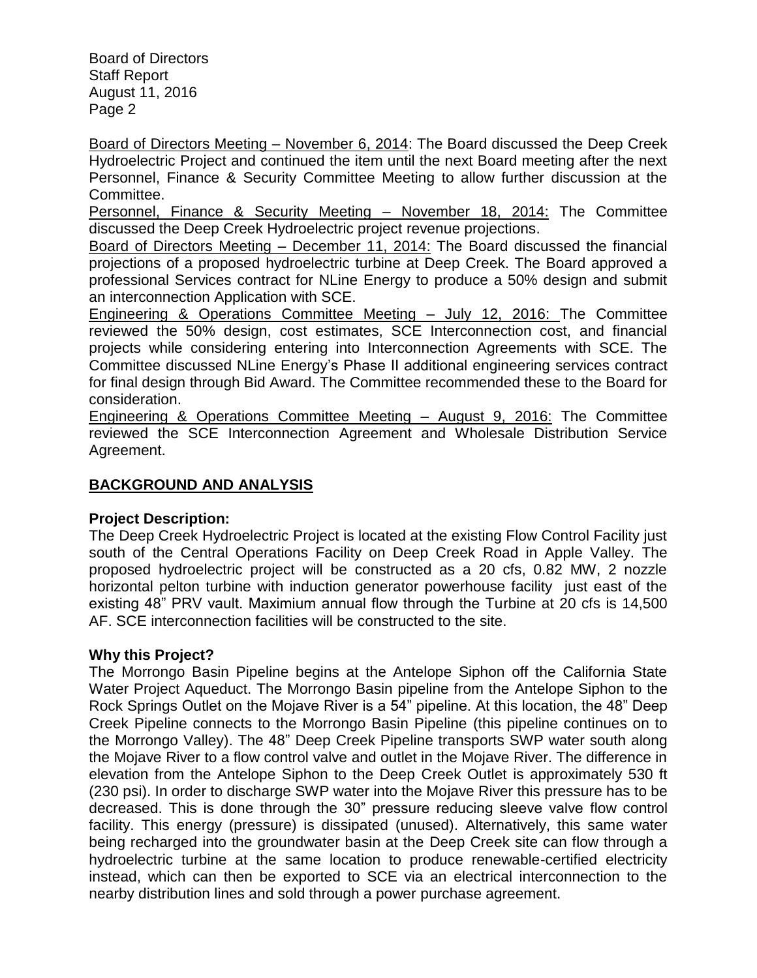Board of Directors Meeting – November 6, 2014: The Board discussed the Deep Creek Hydroelectric Project and continued the item until the next Board meeting after the next Personnel, Finance & Security Committee Meeting to allow further discussion at the Committee.

Personnel, Finance & Security Meeting – November 18, 2014: The Committee discussed the Deep Creek Hydroelectric project revenue projections.

Board of Directors Meeting – December 11, 2014: The Board discussed the financial projections of a proposed hydroelectric turbine at Deep Creek. The Board approved a professional Services contract for NLine Energy to produce a 50% design and submit an interconnection Application with SCE.

Engineering & Operations Committee Meeting – July 12, 2016: The Committee reviewed the 50% design, cost estimates, SCE Interconnection cost, and financial projects while considering entering into Interconnection Agreements with SCE. The Committee discussed NLine Energy's Phase II additional engineering services contract for final design through Bid Award. The Committee recommended these to the Board for consideration.

Engineering & Operations Committee Meeting – August 9, 2016: The Committee reviewed the SCE Interconnection Agreement and Wholesale Distribution Service Agreement.

# **BACKGROUND AND ANALYSIS**

## **Project Description:**

The Deep Creek Hydroelectric Project is located at the existing Flow Control Facility just south of the Central Operations Facility on Deep Creek Road in Apple Valley. The proposed hydroelectric project will be constructed as a 20 cfs, 0.82 MW, 2 nozzle horizontal pelton turbine with induction generator powerhouse facility just east of the existing 48" PRV vault. Maximium annual flow through the Turbine at 20 cfs is 14,500 AF. SCE interconnection facilities will be constructed to the site.

## **Why this Project?**

The Morrongo Basin Pipeline begins at the Antelope Siphon off the California State Water Project Aqueduct. The Morrongo Basin pipeline from the Antelope Siphon to the Rock Springs Outlet on the Mojave River is a 54" pipeline. At this location, the 48" Deep Creek Pipeline connects to the Morrongo Basin Pipeline (this pipeline continues on to the Morrongo Valley). The 48" Deep Creek Pipeline transports SWP water south along the Mojave River to a flow control valve and outlet in the Mojave River. The difference in elevation from the Antelope Siphon to the Deep Creek Outlet is approximately 530 ft (230 psi). In order to discharge SWP water into the Mojave River this pressure has to be decreased. This is done through the 30" pressure reducing sleeve valve flow control facility. This energy (pressure) is dissipated (unused). Alternatively, this same water being recharged into the groundwater basin at the Deep Creek site can flow through a hydroelectric turbine at the same location to produce renewable-certified electricity instead, which can then be exported to SCE via an electrical interconnection to the nearby distribution lines and sold through a power purchase agreement.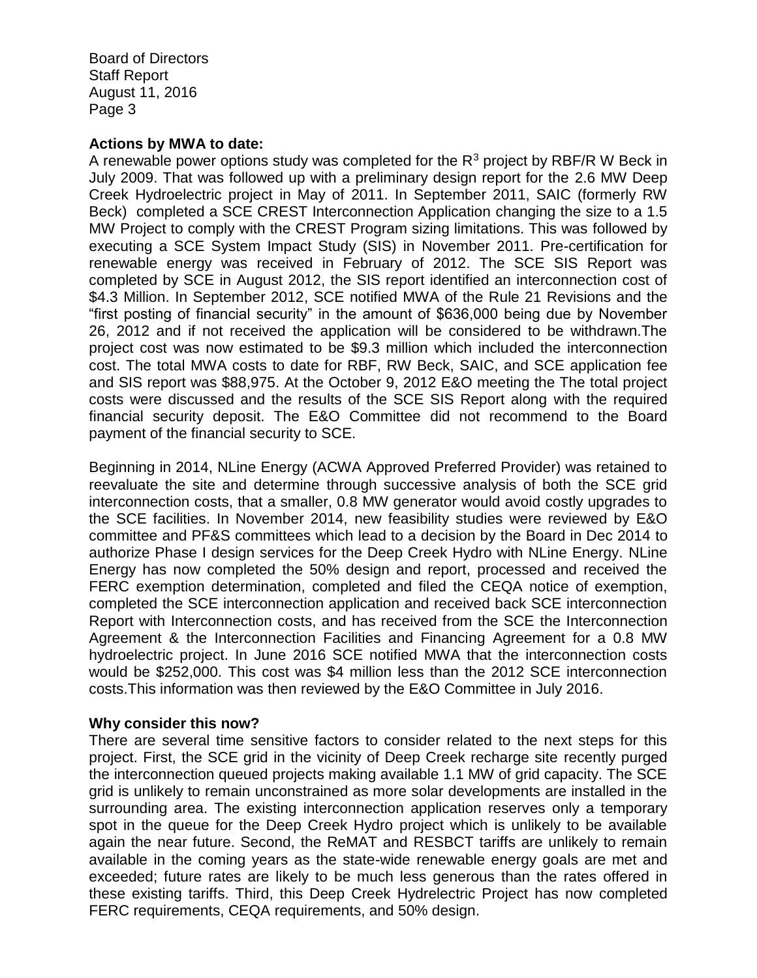#### **Actions by MWA to date:**

A renewable power options study was completed for the  $R<sup>3</sup>$  project by RBF/R W Beck in July 2009. That was followed up with a preliminary design report for the 2.6 MW Deep Creek Hydroelectric project in May of 2011. In September 2011, SAIC (formerly RW Beck) completed a SCE CREST Interconnection Application changing the size to a 1.5 MW Project to comply with the CREST Program sizing limitations. This was followed by executing a SCE System Impact Study (SIS) in November 2011. Pre-certification for renewable energy was received in February of 2012. The SCE SIS Report was completed by SCE in August 2012, the SIS report identified an interconnection cost of \$4.3 Million. In September 2012, SCE notified MWA of the Rule 21 Revisions and the "first posting of financial security" in the amount of \$636,000 being due by November 26, 2012 and if not received the application will be considered to be withdrawn.The project cost was now estimated to be \$9.3 million which included the interconnection cost. The total MWA costs to date for RBF, RW Beck, SAIC, and SCE application fee and SIS report was \$88,975. At the October 9, 2012 E&O meeting the The total project costs were discussed and the results of the SCE SIS Report along with the required financial security deposit. The E&O Committee did not recommend to the Board payment of the financial security to SCE.

Beginning in 2014, NLine Energy (ACWA Approved Preferred Provider) was retained to reevaluate the site and determine through successive analysis of both the SCE grid interconnection costs, that a smaller, 0.8 MW generator would avoid costly upgrades to the SCE facilities. In November 2014, new feasibility studies were reviewed by E&O committee and PF&S committees which lead to a decision by the Board in Dec 2014 to authorize Phase I design services for the Deep Creek Hydro with NLine Energy. NLine Energy has now completed the 50% design and report, processed and received the FERC exemption determination, completed and filed the CEQA notice of exemption, completed the SCE interconnection application and received back SCE interconnection Report with Interconnection costs, and has received from the SCE the Interconnection Agreement & the Interconnection Facilities and Financing Agreement for a 0.8 MW hydroelectric project. In June 2016 SCE notified MWA that the interconnection costs would be \$252,000. This cost was \$4 million less than the 2012 SCE interconnection costs.This information was then reviewed by the E&O Committee in July 2016.

#### **Why consider this now?**

There are several time sensitive factors to consider related to the next steps for this project. First, the SCE grid in the vicinity of Deep Creek recharge site recently purged the interconnection queued projects making available 1.1 MW of grid capacity. The SCE grid is unlikely to remain unconstrained as more solar developments are installed in the surrounding area. The existing interconnection application reserves only a temporary spot in the queue for the Deep Creek Hydro project which is unlikely to be available again the near future. Second, the ReMAT and RESBCT tariffs are unlikely to remain available in the coming years as the state-wide renewable energy goals are met and exceeded; future rates are likely to be much less generous than the rates offered in these existing tariffs. Third, this Deep Creek Hydrelectric Project has now completed FERC requirements, CEQA requirements, and 50% design.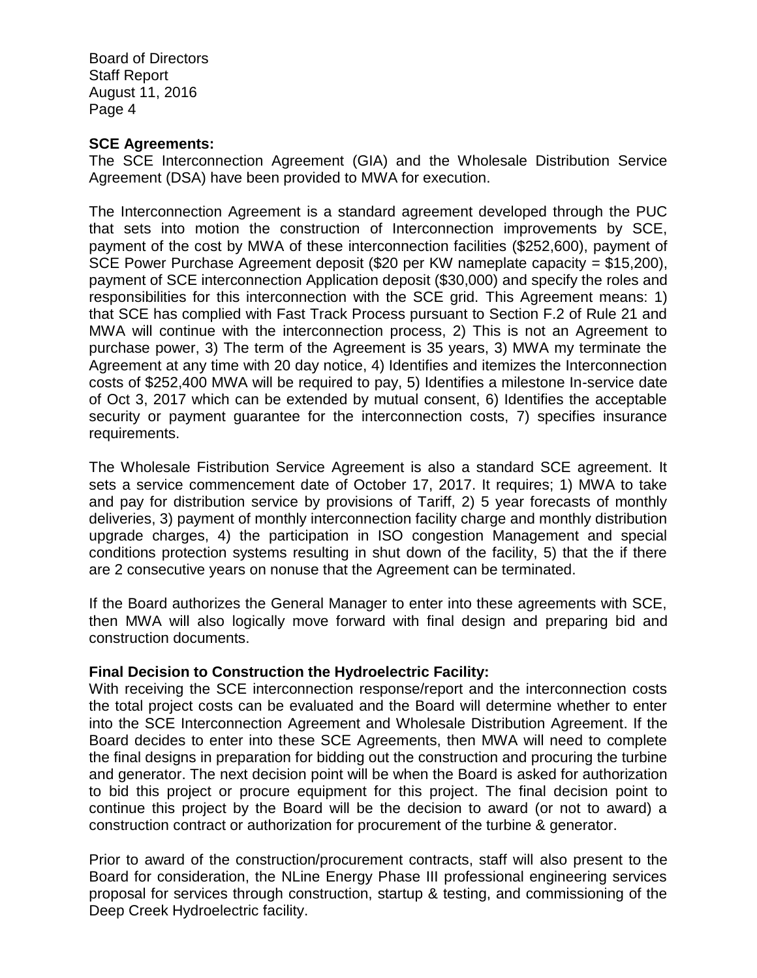#### **SCE Agreements:**

The SCE Interconnection Agreement (GIA) and the Wholesale Distribution Service Agreement (DSA) have been provided to MWA for execution.

The Interconnection Agreement is a standard agreement developed through the PUC that sets into motion the construction of Interconnection improvements by SCE, payment of the cost by MWA of these interconnection facilities (\$252,600), payment of SCE Power Purchase Agreement deposit (\$20 per KW nameplate capacity = \$15,200), payment of SCE interconnection Application deposit (\$30,000) and specify the roles and responsibilities for this interconnection with the SCE grid. This Agreement means: 1) that SCE has complied with Fast Track Process pursuant to Section F.2 of Rule 21 and MWA will continue with the interconnection process, 2) This is not an Agreement to purchase power, 3) The term of the Agreement is 35 years, 3) MWA my terminate the Agreement at any time with 20 day notice, 4) Identifies and itemizes the Interconnection costs of \$252,400 MWA will be required to pay, 5) Identifies a milestone In-service date of Oct 3, 2017 which can be extended by mutual consent, 6) Identifies the acceptable security or payment guarantee for the interconnection costs, 7) specifies insurance requirements.

The Wholesale Fistribution Service Agreement is also a standard SCE agreement. It sets a service commencement date of October 17, 2017. It requires; 1) MWA to take and pay for distribution service by provisions of Tariff, 2) 5 year forecasts of monthly deliveries, 3) payment of monthly interconnection facility charge and monthly distribution upgrade charges, 4) the participation in ISO congestion Management and special conditions protection systems resulting in shut down of the facility, 5) that the if there are 2 consecutive years on nonuse that the Agreement can be terminated.

If the Board authorizes the General Manager to enter into these agreements with SCE, then MWA will also logically move forward with final design and preparing bid and construction documents.

#### **Final Decision to Construction the Hydroelectric Facility:**

With receiving the SCE interconnection response/report and the interconnection costs the total project costs can be evaluated and the Board will determine whether to enter into the SCE Interconnection Agreement and Wholesale Distribution Agreement. If the Board decides to enter into these SCE Agreements, then MWA will need to complete the final designs in preparation for bidding out the construction and procuring the turbine and generator. The next decision point will be when the Board is asked for authorization to bid this project or procure equipment for this project. The final decision point to continue this project by the Board will be the decision to award (or not to award) a construction contract or authorization for procurement of the turbine & generator.

Prior to award of the construction/procurement contracts, staff will also present to the Board for consideration, the NLine Energy Phase III professional engineering services proposal for services through construction, startup & testing, and commissioning of the Deep Creek Hydroelectric facility.